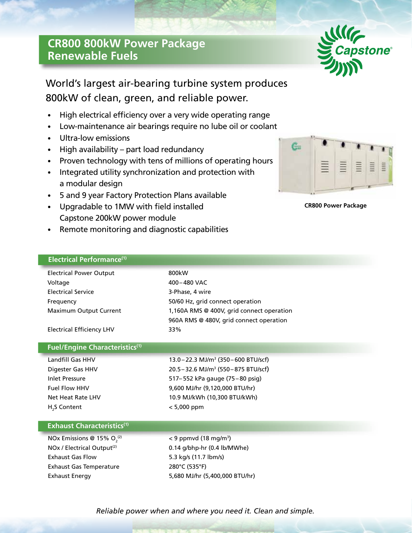## **CR800 800kW Power Package Renewable Fuels**



## World's largest air-bearing turbine system produces 800kW of clean, green, and reliable power.

- High electrical efficiency over a very wide operating range
- Low-maintenance air bearings require no lube oil or coolant
- Ultra-low emissions
- High availability part load redundancy
- Proven technology with tens of millions of operating hours
- Integrated utility synchronization and protection with a modular design

Exhaust Energy 5,680 MJ/hr (5,400,000 BTU/hr)

- 5 and 9 year Factory Protection Plans available
- Upgradable to 1MW with field installed Capstone 200kW power module
- Remote monitoring and diagnostic capabilities

## C. 亖

**CR800 Power Package**

| Electrical Performance <sup>(1)</sup>  |                                                   |
|----------------------------------------|---------------------------------------------------|
| <b>Electrical Power Output</b>         | 800kW                                             |
| Voltage                                | 400-480 VAC                                       |
| <b>Electrical Service</b>              | 3-Phase, 4 wire                                   |
| Frequency                              | 50/60 Hz, grid connect operation                  |
| Maximum Output Current                 | 1,160A RMS @ 400V, grid connect operation         |
|                                        | 960A RMS @ 480V, grid connect operation           |
| <b>Electrical Efficiency LHV</b>       | 33%                                               |
|                                        |                                                   |
| <b>Fuel/Engine Characteristics(1)</b>  |                                                   |
| Landfill Gas HHV                       | 13.0 – 22.3 MJ/m <sup>3</sup> (350 – 600 BTU/scf) |
| Digester Gas HHV                       | 20.5-32.6 MJ/m <sup>3</sup> (550-875 BTU/scf)     |
| <b>Inlet Pressure</b>                  | 517-552 kPa gauge (75-80 psig)                    |
| <b>Fuel Flow HHV</b>                   | 9,600 MJ/hr (9,120,000 BTU/hr)                    |
| Net Heat Rate LHV                      | 10.9 MJ/kWh (10,300 BTU/kWh)                      |
| H <sub>2</sub> S Content               | $< 5,000$ ppm                                     |
|                                        |                                                   |
| <b>Exhaust Characteristics(1)</b>      |                                                   |
| NOx Emissions @ 15% $O2(2)$            | $<$ 9 ppmvd (18 mg/m <sup>3</sup> )               |
| NOx / Electrical Output <sup>(2)</sup> | 0.14 g/bhp-hr (0.4 lb/MWhe)                       |
| <b>Exhaust Gas Flow</b>                | 5.3 kg/s (11.7 lbm/s)                             |
| <b>Exhaust Gas Temperature</b>         | 280°C (535°F)                                     |

*Reliable power when and where you need it. Clean and simple.*